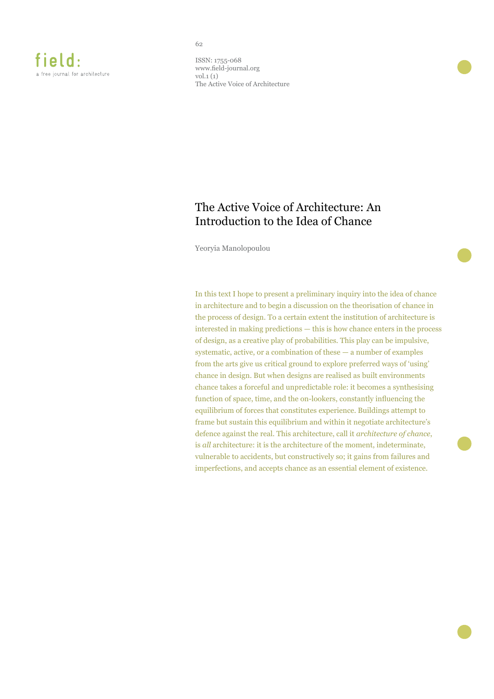ISSN: 1755-068 www.field-journal.org vol.1 (1) The Active Voice of Architecture

62

# The Active Voice of Architecture: An Introduction to the Idea of Chance

Yeoryia Manolopoulou

In this text I hope to present a preliminary inquiry into the idea of chance in architecture and to begin a discussion on the theorisation of chance in the process of design. To a certain extent the institution of architecture is interested in making predictions — this is how chance enters in the process of design, as a creative play of probabilities. This play can be impulsive, systematic, active, or a combination of these — a number of examples from the arts give us critical ground to explore preferred ways of 'using' chance in design. But when designs are realised as built environments chance takes a forceful and unpredictable role: it becomes a synthesising function of space, time, and the on-lookers, constantly influencing the equilibrium of forces that constitutes experience. Buildings attempt to frame but sustain this equilibrium and within it negotiate architecture's defence against the real. This architecture, call it *architecture of chance*, is *all* architecture: it is the architecture of the moment, indeterminate, vulnerable to accidents, but constructively so; it gains from failures and imperfections, and accepts chance as an essential element of existence.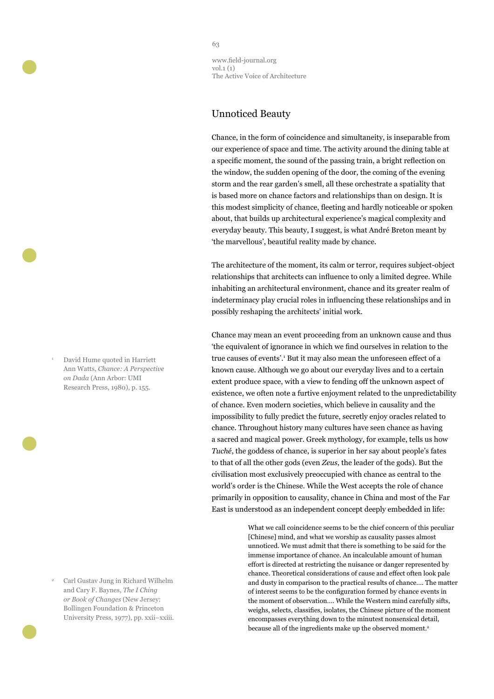### Unnoticed Beauty

Chance, in the form of coincidence and simultaneity, is inseparable from our experience of space and time. The activity around the dining table at a specific moment, the sound of the passing train, a bright reflection on the window, the sudden opening of the door, the coming of the evening storm and the rear garden's smell, all these orchestrate a spatiality that is based more on chance factors and relationships than on design. It is this modest simplicity of chance, fleeting and hardly noticeable or spoken about, that builds up architectural experience's magical complexity and everyday beauty. This beauty, I suggest, is what André Breton meant by 'the marvellous', beautiful reality made by chance.

The architecture of the moment, its calm or terror, requires subject-object relationships that architects can influence to only a limited degree. While inhabiting an architectural environment, chance and its greater realm of indeterminacy play crucial roles in influencing these relationships and in possibly reshaping the architects' initial work.

Chance may mean an event proceeding from an unknown cause and thus 'the equivalent of ignorance in which we find ourselves in relation to the true causes of events'.<sup>1</sup> But it may also mean the unforeseen effect of a known cause. Although we go about our everyday lives and to a certain extent produce space, with a view to fending off the unknown aspect of existence, we often note a furtive enjoyment related to the unpredictability of chance. Even modern societies, which believe in causality and the impossibility to fully predict the future, secretly enjoy oracles related to chance. Throughout history many cultures have seen chance as having a sacred and magical power. Greek mythology, for example, tells us how *Tuché*, the goddess of chance, is superior in her say about people's fates to that of all the other gods (even *Zeus*, the leader of the gods). But the civilisation most exclusively preoccupied with chance as central to the world's order is the Chinese. While the West accepts the role of chance primarily in opposition to causality, chance in China and most of the Far East is understood as an independent concept deeply embedded in life:

> What we call coincidence seems to be the chief concern of this peculiar [Chinese] mind, and what we worship as causality passes almost unnoticed. We must admit that there is something to be said for the immense importance of chance. An incalculable amount of human effort is directed at restricting the nuisance or danger represented by chance. Theoretical considerations of cause and effect often look pale and dusty in comparison to the practical results of chance…. The matter of interest seems to be the configuration formed by chance events in the moment of observation…. While the Western mind carefully sifts, weighs, selects, classifies, isolates, the Chinese picture of the moment encompasses everything down to the minutest nonsensical detail, because all of the ingredients make up the observed moment.<sup>2</sup>

<sup>1</sup> David Hume quoted in Harriett Ann Watts, *Chance: A Perspective on Dada* (Ann Arbor: UMI Research Press, 1980), p. 155.

<sup>2</sup> Carl Gustav Jung in Richard Wilhelm and Cary F. Baynes, *The I Ching or Book of Changes* (New Jersey: Bollingen Foundation & Princeton University Press, 1977), pp. xxii–xxiii.

#### 63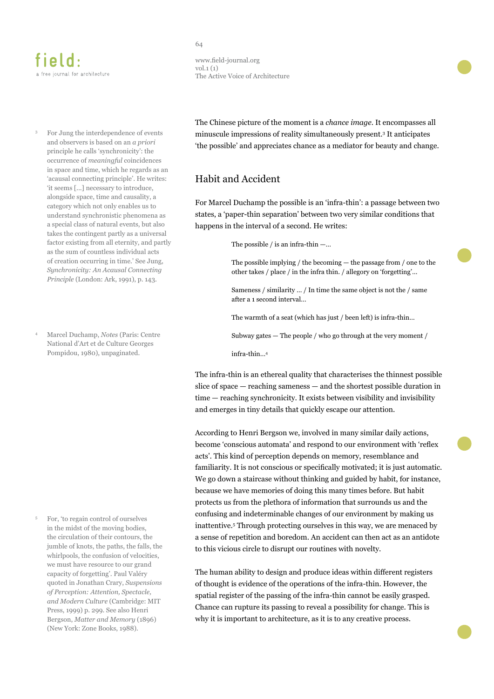# field: a free journal for architecture

<sup>3</sup> For Jung the interdependence of events and observers is based on an *a priori*  principle he calls 'synchronicity': the occurrence of *meaningful* coincidences in space and time, which he regards as an 'acausal connecting principle'. He writes: 'it seems [...] necessary to introduce, alongside space, time and causality, a category which not only enables us to understand synchronistic phenomena as a special class of natural events, but also takes the contingent partly as a universal factor existing from all eternity, and partly as the sum of countless individual acts of creation occurring in time.' See Jung, *Synchronicity: An Acausal Connecting Principle* (London: Ark, 1991), p. 143.

<sup>4</sup>Marcel Duchamp, *Notes* (Paris: Centre National d'Art et de Culture Georges Pompidou, 1980), unpaginated.

<sup>5</sup>For, 'to regain control of ourselves in the midst of the moving bodies, the circulation of their contours, the jumble of knots, the paths, the falls, the whirlpools, the confusion of velocities, we must have resource to our grand capacity of forgetting'. Paul Valéry quoted in Jonathan Crary, *Suspensions of Perception: Attention, Spectacle, and Modern Culture* (Cambridge: MIT Press, 1999) p. 299. See also Henri Bergson, *Matter and Memory* (1896) (New York: Zone Books, 1988).

#### 64

www.field-journal.org vol.1 (1) The Active Voice of Architecture

The Chinese picture of the moment is a *chance image*. It encompasses all minuscule impressions of reality simultaneously present.<sup>3</sup> It anticipates 'the possible' and appreciates chance as a mediator for beauty and change.

## Habit and Accident

For Marcel Duchamp the possible is an 'infra-thin': a passage between two states, a 'paper-thin separation' between two very similar conditions that happens in the interval of a second. He writes:

The possible  $/$  is an infra-thin  $-...$ 

The possible implying / the becoming — the passage from / one to the other takes / place / in the infra thin. / allegory on 'forgetting'…

Sameness / similarity … / In time the same object is not the / same after a 1 second interval…

The warmth of a seat (which has just / been left) is infra-thin…

Subway gates — The people / who go through at the very moment /

infra-thin…<sup>4</sup>

The infra-thin is an ethereal quality that characterises the thinnest possible slice of space — reaching sameness — and the shortest possible duration in time — reaching synchronicity. It exists between visibility and invisibility and emerges in tiny details that quickly escape our attention.

According to Henri Bergson we, involved in many similar daily actions, become 'conscious automata' and respond to our environment with 'reflex acts'. This kind of perception depends on memory, resemblance and familiarity. It is not conscious or specifically motivated; it is just automatic. We go down a staircase without thinking and guided by habit, for instance, because we have memories of doing this many times before. But habit protects us from the plethora of information that surrounds us and the confusing and indeterminable changes of our environment by making us inattentive.<sup>5</sup> Through protecting ourselves in this way, we are menaced by a sense of repetition and boredom. An accident can then act as an antidote to this vicious circle to disrupt our routines with novelty.

The human ability to design and produce ideas within different registers of thought is evidence of the operations of the infra-thin. However, the spatial register of the passing of the infra-thin cannot be easily grasped. Chance can rupture its passing to reveal a possibility for change. This is why it is important to architecture, as it is to any creative process.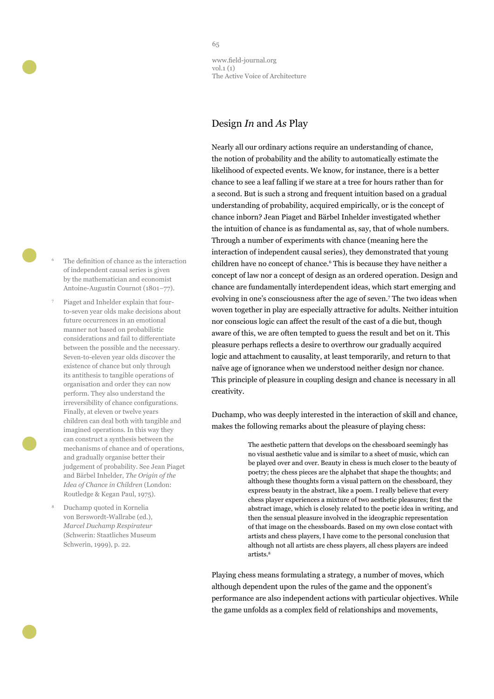

- The definition of chance as the interaction of independent causal series is given by the mathematician and economist Antoine-Augustin Cournot (1801–77).
- 7 Piaget and Inhelder explain that fourto-seven year olds make decisions about future occurrences in an emotional manner not based on probabilistic considerations and fail to differentiate between the possible and the necessary. Seven-to-eleven year olds discover the existence of chance but only through its antithesis to tangible operations of organisation and order they can now perform. They also understand the irreversibility of chance configurations. Finally, at eleven or twelve years children can deal both with tangible and imagined operations. In this way they can construct a synthesis between the mechanisms of chance and of operations, and gradually organise better their judgement of probability. See Jean Piaget and Bärbel Inhelder, *The Origin of the Idea of Chance in Children* (London: Routledge & Kegan Paul, 1975).
- <sup>8</sup>Duchamp quoted in Kornelia von Berswordt-Wallrabe (ed.), *Marcel Duchamp Respirateur* (Schwerin: Staatliches Museum Schwerin, 1999), p. 22.

www.field-journal.org vol.1 (1) The Active Voice of Architecture

# Design *In* and *As* Play

Nearly all our ordinary actions require an understanding of chance, the notion of probability and the ability to automatically estimate the likelihood of expected events. We know, for instance, there is a better chance to see a leaf falling if we stare at a tree for hours rather than for a second. But is such a strong and frequent intuition based on a gradual understanding of probability, acquired empirically, or is the concept of chance inborn? Jean Piaget and Bärbel Inhelder investigated whether the intuition of chance is as fundamental as, say, that of whole numbers. Through a number of experiments with chance (meaning here the interaction of independent causal series), they demonstrated that young children have no concept of chance.<sup>6</sup> This is because they have neither a concept of law nor a concept of design as an ordered operation. Design and chance are fundamentally interdependent ideas, which start emerging and evolving in one's consciousness after the age of seven.<sup>7</sup> The two ideas when woven together in play are especially attractive for adults. Neither intuition nor conscious logic can affect the result of the cast of a die but, though aware of this, we are often tempted to guess the result and bet on it. This pleasure perhaps reflects a desire to overthrow our gradually acquired logic and attachment to causality, at least temporarily, and return to that naïve age of ignorance when we understood neither design nor chance. This principle of pleasure in coupling design and chance is necessary in all creativity.

Duchamp, who was deeply interested in the interaction of skill and chance, makes the following remarks about the pleasure of playing chess:

> The aesthetic pattern that develops on the chessboard seemingly has no visual aesthetic value and is similar to a sheet of music, which can be played over and over. Beauty in chess is much closer to the beauty of poetry; the chess pieces are the alphabet that shape the thoughts; and although these thoughts form a visual pattern on the chessboard, they express beauty in the abstract, like a poem. I really believe that every chess player experiences a mixture of two aesthetic pleasures; first the abstract image, which is closely related to the poetic idea in writing, and then the sensual pleasure involved in the ideographic representation of that image on the chessboards. Based on my own close contact with artists and chess players, I have come to the personal conclusion that although not all artists are chess players, all chess players are indeed artists.<sup>8</sup>

Playing chess means formulating a strategy, a number of moves, which although dependent upon the rules of the game and the opponent's performance are also independent actions with particular objectives. While the game unfolds as a complex field of relationships and movements,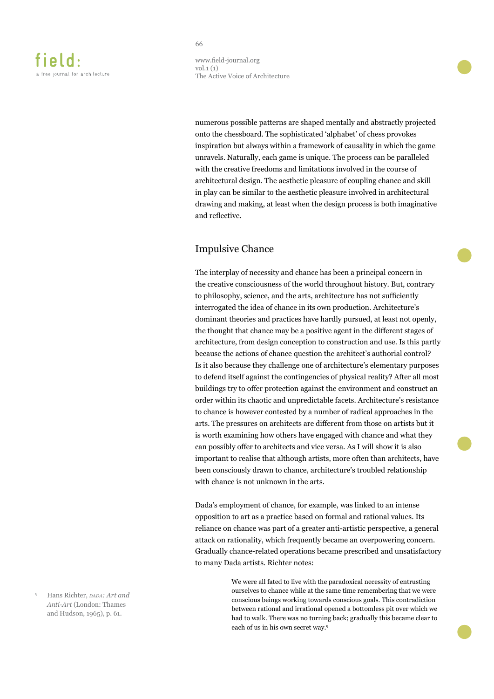www.field-journal.org vol.1 (1) The Active Voice of Architecture

numerous possible patterns are shaped mentally and abstractly projected onto the chessboard. The sophisticated 'alphabet' of chess provokes inspiration but always within a framework of causality in which the game unravels. Naturally, each game is unique. The process can be paralleled with the creative freedoms and limitations involved in the course of architectural design. The aesthetic pleasure of coupling chance and skill in play can be similar to the aesthetic pleasure involved in architectural drawing and making, at least when the design process is both imaginative and reflective.

# Impulsive Chance

The interplay of necessity and chance has been a principal concern in the creative consciousness of the world throughout history. But, contrary to philosophy, science, and the arts, architecture has not sufficiently interrogated the idea of chance in its own production. Architecture's dominant theories and practices have hardly pursued, at least not openly, the thought that chance may be a positive agent in the different stages of architecture, from design conception to construction and use. Is this partly because the actions of chance question the architect's authorial control? Is it also because they challenge one of architecture's elementary purposes to defend itself against the contingencies of physical reality? After all most buildings try to offer protection against the environment and construct an order within its chaotic and unpredictable facets. Architecture's resistance to chance is however contested by a number of radical approaches in the arts. The pressures on architects are different from those on artists but it is worth examining how others have engaged with chance and what they can possibly offer to architects and vice versa. As I will show it is also important to realise that although artists, more often than architects, have been consciously drawn to chance, architecture's troubled relationship with chance is not unknown in the arts.

Dada's employment of chance, for example, was linked to an intense opposition to art as a practice based on formal and rational values. Its reliance on chance was part of a greater anti-artistic perspective, a general attack on rationality, which frequently became an overpowering concern. Gradually chance-related operations became prescribed and unsatisfactory to many Dada artists. Richter notes:

> We were all fated to live with the paradoxical necessity of entrusting ourselves to chance while at the same time remembering that we were conscious beings working towards conscious goals. This contradiction between rational and irrational opened a bottomless pit over which we had to walk. There was no turning back; gradually this became clear to each of us in his own secret way.9

Hans Richter, *papa: Art and Anti-Art* (London: Thames and Hudson, 1965), p. 61.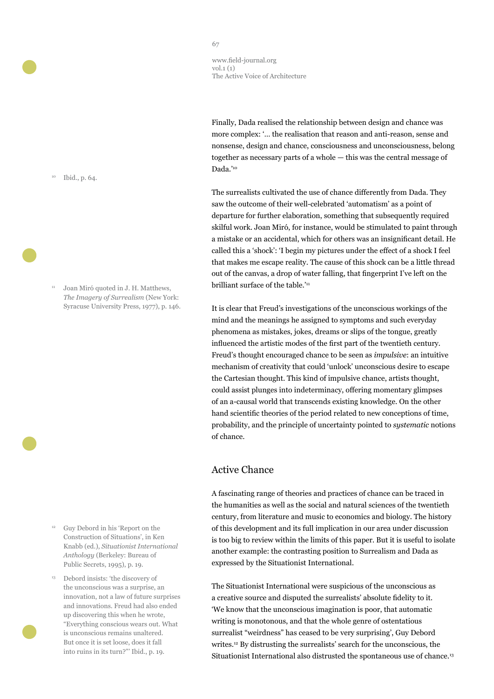Finally, Dada realised the relationship between design and chance was more complex: '… the realisation that reason and anti-reason, sense and nonsense, design and chance, consciousness and unconsciousness, belong together as necessary parts of a whole — this was the central message of Dada.'<sup>10</sup>

The surrealists cultivated the use of chance differently from Dada. They saw the outcome of their well-celebrated 'automatism' as a point of departure for further elaboration, something that subsequently required skilful work. Joan Miró, for instance, would be stimulated to paint through a mistake or an accidental, which for others was an insignificant detail. He called this a 'shock': 'I begin my pictures under the effect of a shock I feel that makes me escape reality. The cause of this shock can be a little thread out of the canvas, a drop of water falling, that fingerprint I've left on the brilliant surface of the table.'<sup>11</sup>

It is clear that Freud's investigations of the unconscious workings of the mind and the meanings he assigned to symptoms and such everyday phenomena as mistakes, jokes, dreams or slips of the tongue, greatly influenced the artistic modes of the first part of the twentieth century. Freud's thought encouraged chance to be seen as *impulsive*: an intuitive mechanism of creativity that could 'unlock' unconscious desire to escape the Cartesian thought. This kind of impulsive chance, artists thought, could assist plunges into indeterminacy, offering momentary glimpses of an a-causal world that transcends existing knowledge. On the other hand scientific theories of the period related to new conceptions of time, probability, and the principle of uncertainty pointed to *systematic* notions of chance.

### Active Chance

A fascinating range of theories and practices of chance can be traced in the humanities as well as the social and natural sciences of the twentieth century, from literature and music to economics and biology. The history of this development and its full implication in our area under discussion is too big to review within the limits of this paper. But it is useful to isolate another example: the contrasting position to Surrealism and Dada as expressed by the Situationist International.

The Situationist International were suspicious of the unconscious as a creative source and disputed the surrealists' absolute fidelity to it. 'We know that the unconscious imagination is poor, that automatic writing is monotonous, and that the whole genre of ostentatious surrealist "weirdness" has ceased to be very surprising', Guy Debord writes.<sup>12</sup> By distrusting the surrealists' search for the unconscious, the Situationist International also distrusted the spontaneous use of chance.<sup>13</sup>

<sup>10</sup> Ibid., p. 64.

Joan Miró quoted in J. H. Matthews, *The Imagery of Surrealism* (New York: Syracuse University Press, 1977), p. 146.

- <sup>12</sup> Guy Debord in his 'Report on the Construction of Situations', in Ken Knabb (ed.), *Situationist International Anthology* (Berkeley: Bureau of Public Secrets, 1995), p. 19.
- <sup>13</sup> Debord insists: 'the discovery of the unconscious was a surprise, an innovation, not a law of future surprises and innovations. Freud had also ended up discovering this when he wrote, "Everything conscious wears out. What is unconscious remains unaltered. But once it is set loose, does it fall into ruins in its turn?"' Ibid., p. 19.

#### 67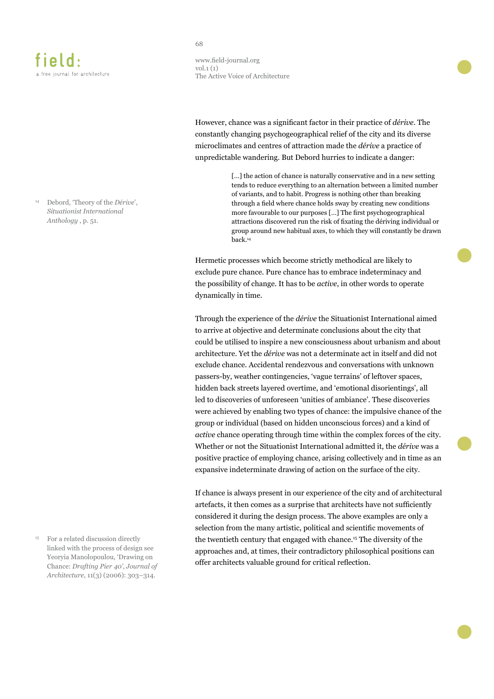<sup>14</sup> Debord, 'Theory of the *Dérive*', *Situationist International Anthology* , p. 51.

<sup>15</sup> For a related discussion directly linked with the process of design see Yeoryia Manolopoulou, 'Drawing on Chance: *Drafting Pier 40'*, *Journal of Architecture*, 11(3) (2006): 303–314.

#### 68

www.field-journal.org vol.1 (1) The Active Voice of Architecture

However, chance was a significant factor in their practice of *dérive*. The constantly changing psychogeographical relief of the city and its diverse microclimates and centres of attraction made the *dérive* a practice of unpredictable wandering. But Debord hurries to indicate a danger:

> [...] the action of chance is naturally conservative and in a new setting tends to reduce everything to an alternation between a limited number of variants, and to habit. Progress is nothing other than breaking through a field where chance holds sway by creating new conditions more favourable to our purposes […] The first psychogeographical attractions discovered run the risk of fixating the dériving individual or group around new habitual axes, to which they will constantly be drawn back.<sup>14</sup>

Hermetic processes which become strictly methodical are likely to exclude pure chance. Pure chance has to embrace indeterminacy and the possibility of change. It has to be *active*, in other words to operate dynamically in time.

Through the experience of the *dérive* the Situationist International aimed to arrive at objective and determinate conclusions about the city that could be utilised to inspire a new consciousness about urbanism and about architecture. Yet the *dérive* was not a determinate act in itself and did not exclude chance. Accidental rendezvous and conversations with unknown passers-by, weather contingencies, 'vague terrains' of leftover spaces, hidden back streets layered overtime, and 'emotional disorientings', all led to discoveries of unforeseen 'unities of ambiance'. These discoveries were achieved by enabling two types of chance: the impulsive chance of the group or individual (based on hidden unconscious forces) and a kind of *active* chance operating through time within the complex forces of the city. Whether or not the Situationist International admitted it, the *dérive* was a positive practice of employing chance, arising collectively and in time as an expansive indeterminate drawing of action on the surface of the city.

If chance is always present in our experience of the city and of architectural artefacts, it then comes as a surprise that architects have not sufficiently considered it during the design process. The above examples are only a selection from the many artistic, political and scientific movements of the twentieth century that engaged with chance.<sup>15</sup> The diversity of the approaches and, at times, their contradictory philosophical positions can offer architects valuable ground for critical reflection.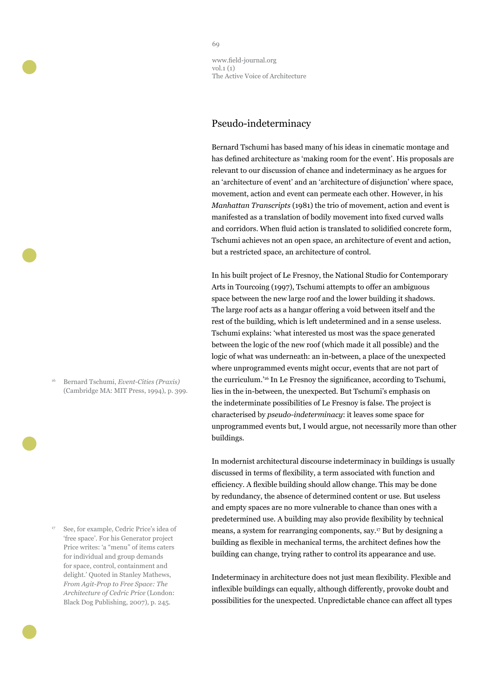## Pseudo-indeterminacy

Bernard Tschumi has based many of his ideas in cinematic montage and has defined architecture as 'making room for the event'. His proposals are relevant to our discussion of chance and indeterminacy as he argues for an 'architecture of event' and an 'architecture of disjunction' where space, movement, action and event can permeate each other. However, in his *Manhattan Transcripts* (1981) the trio of movement, action and event is manifested as a translation of bodily movement into fixed curved walls and corridors. When fluid action is translated to solidified concrete form, Tschumi achieves not an open space, an architecture of event and action, but a restricted space, an architecture of control.

In his built project of Le Fresnoy, the National Studio for Contemporary Arts in Tourcoing (1997), Tschumi attempts to offer an ambiguous space between the new large roof and the lower building it shadows. The large roof acts as a hangar offering a void between itself and the rest of the building, which is left undetermined and in a sense useless. Tschumi explains: 'what interested us most was the space generated between the logic of the new roof (which made it all possible) and the logic of what was underneath: an in-between, a place of the unexpected where unprogrammed events might occur, events that are not part of the curriculum.'<sup>16</sup> In Le Fresnoy the significance, according to Tschumi, lies in the in-between, the unexpected. But Tschumi's emphasis on the indeterminate possibilities of Le Fresnoy is false. The project is characterised by *pseudo-indeterminacy*: it leaves some space for unprogrammed events but, I would argue, not necessarily more than other buildings.

In modernist architectural discourse indeterminacy in buildings is usually discussed in terms of flexibility, a term associated with function and efficiency. A flexible building should allow change. This may be done by redundancy, the absence of determined content or use. But useless and empty spaces are no more vulnerable to chance than ones with a predetermined use. A building may also provide flexibility by technical means, a system for rearranging components, say.<sup>17</sup> But by designing a building as flexible in mechanical terms, the architect defines how the building can change, trying rather to control its appearance and use.

Indeterminacy in architecture does not just mean flexibility. Flexible and inflexible buildings can equally, although differently, provoke doubt and possibilities for the unexpected. Unpredictable chance can affect all types

<sup>16</sup> Bernard Tschumi, *Event-Cities (Praxis)* (Cambridge MA: MIT Press, 1994), p. 399.

<sup>17</sup> See, for example, Cedric Price's idea of 'free space'. For his Generator project Price writes: 'a "menu" of items caters for individual and group demands for space, control, containment and delight.' Quoted in Stanley Mathews, *From Agit-Prop to Free Space: The Architecture of Cedric Price* (London: Black Dog Publishing, 2007), p. 245.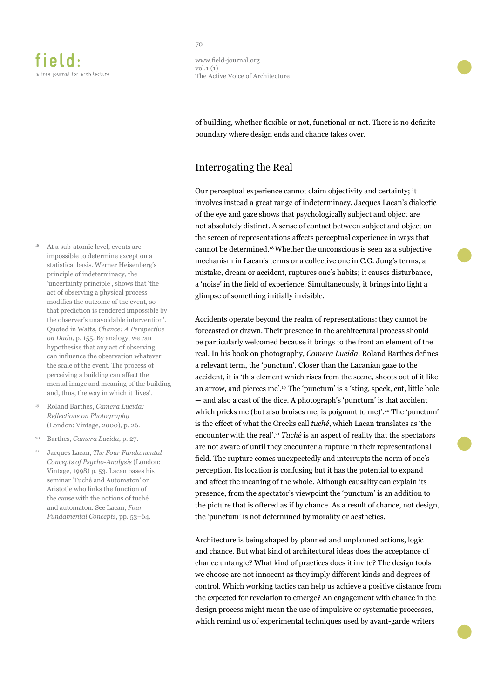- At a sub-atomic level, events are impossible to determine except on a statistical basis. Werner Heisenberg's principle of indeterminacy, the 'uncertainty principle', shows that 'the act of observing a physical process modifies the outcome of the event, so that prediction is rendered impossible by the observer's unavoidable intervention'. Quoted in Watts, *Chance: A Perspective on Dada*, p. 155. By analogy, we can hypothesise that any act of observing can influence the observation whatever the scale of the event. The process of perceiving a building can affect the mental image and meaning of the building and, thus, the way in which it 'lives'.
- <sup>19</sup> Roland Barthes, *Camera Lucida: Reflections on Photography* (London: Vintage, 2000), p. 26.
- <sup>20</sup> Barthes, *Camera Lucida*, p. 27.
- <sup>21</sup> Jacques Lacan, *The Four Fundamental Concepts of Psycho-Analysis* (London: Vintage, 1998) p. 53. Lacan bases his seminar 'Tuché and Automaton' on Aristotle who links the function of the cause with the notions of tuché and automaton. See Lacan, *Four Fundamental Concepts*, pp. 53–64.

www.field-journal.org vol.1 (1) The Active Voice of Architecture

of building, whether flexible or not, functional or not. There is no definite boundary where design ends and chance takes over.

### Interrogating the Real

Our perceptual experience cannot claim objectivity and certainty; it involves instead a great range of indeterminacy. Jacques Lacan's dialectic of the eye and gaze shows that psychologically subject and object are not absolutely distinct. A sense of contact between subject and object on the screen of representations affects perceptual experience in ways that cannot be determined.<sup>18</sup>Whether the unconscious is seen as a subjective mechanism in Lacan's terms or a collective one in C.G. Jung's terms, a mistake, dream or accident, ruptures one's habits; it causes disturbance, a 'noise' in the field of experience. Simultaneously, it brings into light a glimpse of something initially invisible.

Accidents operate beyond the realm of representations: they cannot be forecasted or drawn. Their presence in the architectural process should be particularly welcomed because it brings to the front an element of the real. In his book on photography, *Camera Lucida*, Roland Barthes defines a relevant term, the 'punctum'. Closer than the Lacanian gaze to the accident, it is 'this element which rises from the scene, shoots out of it like an arrow, and pierces me'.19 The 'punctum' is a 'sting, speck, cut, little hole — and also a cast of the dice. A photograph's 'punctum' is that accident which pricks me (but also bruises me, is poignant to me)'.<sup>20</sup> The 'punctum' is the effect of what the Greeks call *tuché*, which Lacan translates as 'the encounter with the real'.<sup>21</sup> *Tuché* is an aspect of reality that the spectators are not aware of until they encounter a rupture in their representational field. The rupture comes unexpectedly and interrupts the norm of one's perception. Its location is confusing but it has the potential to expand and affect the meaning of the whole. Although causality can explain its presence, from the spectator's viewpoint the 'punctum' is an addition to the picture that is offered as if by chance. As a result of chance, not design, the 'punctum' is not determined by morality or aesthetics.

Architecture is being shaped by planned and unplanned actions, logic and chance. But what kind of architectural ideas does the acceptance of chance untangle? What kind of practices does it invite? The design tools we choose are not innocent as they imply different kinds and degrees of control. Which working tactics can help us achieve a positive distance from the expected for revelation to emerge? An engagement with chance in the design process might mean the use of impulsive or systematic processes, which remind us of experimental techniques used by avant-garde writers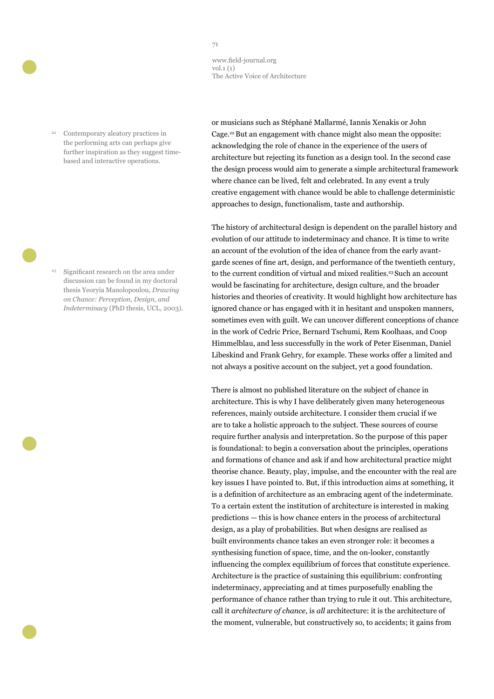Contemporary aleatory practices in the performing arts can perhaps give further inspiration as they suggest timebased and interactive operations.

<sup>23</sup> Significant research on the area under discussion can be found in my doctoral thesis Yeoryia Manolopoulou, *Drawing on Chance: Perception, Design, and Indeterminacy* (PhD thesis, UCL, 2003). or musicians such as Stéphané Mallarmé, Iannis Xenakis or John Cage.<sup>22</sup> But an engagement with chance might also mean the opposite: acknowledging the role of chance in the experience of the users of architecture but rejecting its function as a design tool. In the second case the design process would aim to generate a simple architectural framework where chance can be lived, felt and celebrated. In any event a truly creative engagement with chance would be able to challenge deterministic approaches to design, functionalism, taste and authorship.

The history of architectural design is dependent on the parallel history and evolution of our attitude to indeterminacy and chance. It is time to write an account of the evolution of the idea of chance from the early avantgarde scenes of fine art, design, and performance of the twentieth century, to the current condition of virtual and mixed realities.<sup>23</sup> Such an account would be fascinating for architecture, design culture, and the broader histories and theories of creativity. It would highlight how architecture has ignored chance or has engaged with it in hesitant and unspoken manners, sometimes even with guilt. We can uncover different conceptions of chance in the work of Cedric Price, Bernard Tschumi, Rem Koolhaas, and Coop Himmelblau, and less successfully in the work of Peter Eisenman, Daniel Libeskind and Frank Gehry, for example. These works offer a limited and not always a positive account on the subject, yet a good foundation.

There is almost no published literature on the subject of chance in architecture. This is why I have deliberately given many heterogeneous references, mainly outside architecture. I consider them crucial if we are to take a holistic approach to the subject. These sources of course require further analysis and interpretation. So the purpose of this paper is foundational: to begin a conversation about the principles, operations and formations of chance and ask if and how architectural practice might theorise chance. Beauty, play, impulse, and the encounter with the real are key issues I have pointed to. But, if this introduction aims at something, it is a definition of architecture as an embracing agent of the indeterminate. To a certain extent the institution of architecture is interested in making predictions — this is how chance enters in the process of architectural design, as a play of probabilities. But when designs are realised as built environments chance takes an even stronger role: it becomes a synthesising function of space, time, and the on-looker, constantly influencing the complex equilibrium of forces that constitute experience. Architecture is the practice of sustaining this equilibrium: confronting indeterminacy, appreciating and at times purposefully enabling the performance of chance rather than trying to rule it out. This architecture, call it *architecture of chance,* is *all* architecture: it is the architecture of the moment, vulnerable, but constructively so, to accidents; it gains from